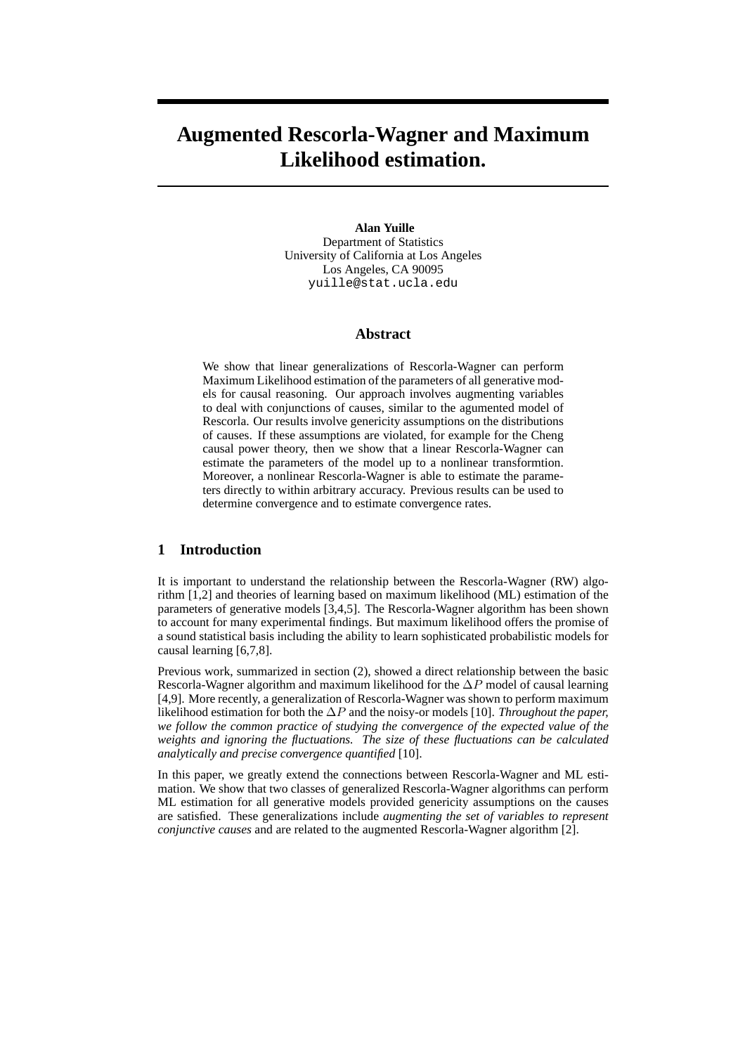# **Augmented Rescorla-Wagner and Maximum Likelihood estimation.**

#### **Alan Yuille**

Department of Statistics University of California at Los Angeles Los Angeles, CA 90095 yuille@stat.ucla.edu

## **Abstract**

We show that linear generalizations of Rescorla-Wagner can perform Maximum Likelihood estimation of the parameters of all generative models for causal reasoning. Our approach involves augmenting variables to deal with conjunctions of causes, similar to the agumented model of Rescorla. Our results involve genericity assumptions on the distributions of causes. If these assumptions are violated, for example for the Cheng causal power theory, then we show that a linear Rescorla-Wagner can estimate the parameters of the model up to a nonlinear transformtion. Moreover, a nonlinear Rescorla-Wagner is able to estimate the parameters directly to within arbitrary accuracy. Previous results can be used to determine convergence and to estimate convergence rates.

## **1 Introduction**

It is important to understand the relationship between the Rescorla-Wagner (RW) algorithm [1,2] and theories of learning based on maximum likelihood (ML) estimation of the parameters of generative models [3,4,5]. The Rescorla-Wagner algorithm has been shown to account for many experimental findings. But maximum likelihood offers the promise of a sound statistical basis including the ability to learn sophisticated probabilistic models for causal learning [6,7,8].

Previous work, summarized in section (2), showed a direct relationship between the basic Rescorla-Wagner algorithm and maximum likelihood for the  $\Delta P$  model of causal learning [4,9]. More recently, a generalization of Rescorla-Wagner was shown to perform maximum likelihood estimation for both the ∆P and the noisy-or models [10]. *Throughout the paper, we follow the common practice of studying the convergence of the expected value of the weights and ignoring the fluctuations. The size of these fluctuations can be calculated analytically and precise convergence quantified* [10].

In this paper, we greatly extend the connections between Rescorla-Wagner and ML estimation. We show that two classes of generalized Rescorla-Wagner algorithms can perform ML estimation for all generative models provided genericity assumptions on the causes are satisfied. These generalizations include *augmenting the set of variables to represent conjunctive causes* and are related to the augmented Rescorla-Wagner algorithm [2].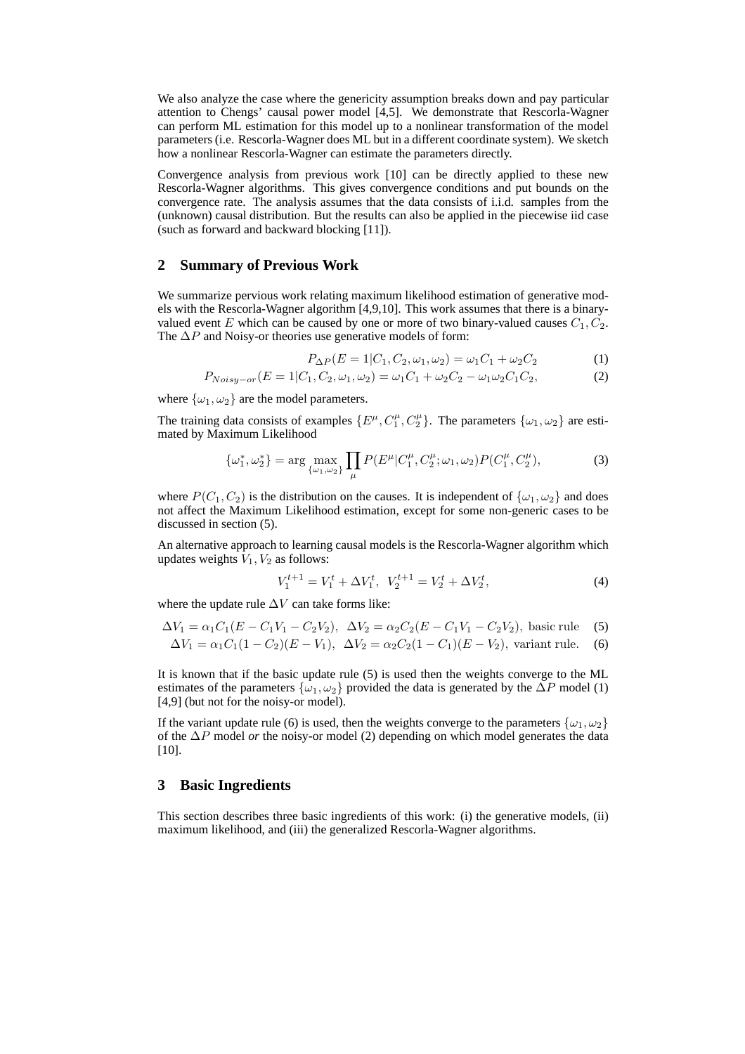We also analyze the case where the genericity assumption breaks down and pay particular attention to Chengs' causal power model [4,5]. We demonstrate that Rescorla-Wagner can perform ML estimation for this model up to a nonlinear transformation of the model parameters (i.e. Rescorla-Wagner does ML but in a different coordinate system). We sketch how a nonlinear Rescorla-Wagner can estimate the parameters directly.

Convergence analysis from previous work [10] can be directly applied to these new Rescorla-Wagner algorithms. This gives convergence conditions and put bounds on the convergence rate. The analysis assumes that the data consists of i.i.d. samples from the (unknown) causal distribution. But the results can also be applied in the piecewise iid case (such as forward and backward blocking [11]).

### **2 Summary of Previous Work**

We summarize pervious work relating maximum likelihood estimation of generative models with the Rescorla-Wagner algorithm [4,9,10]. This work assumes that there is a binaryvalued event E which can be caused by one or more of two binary-valued causes  $C_1, C_2$ . The  $\Delta P$  and Noisy-or theories use generative models of form:

$$
P_{\Delta P}(E = 1|C_1, C_2, \omega_1, \omega_2) = \omega_1 C_1 + \omega_2 C_2 \tag{1}
$$

$$
P_{Noisy-or}(E = 1|C_1, C_2, \omega_1, \omega_2) = \omega_1 C_1 + \omega_2 C_2 - \omega_1 \omega_2 C_1 C_2,
$$
\n(2)

where  $\{\omega_1, \omega_2\}$  are the model parameters.

The training data consists of examples  $\{E^{\mu}, C_1^{\mu}, C_2^{\mu}\}\$ . The parameters  $\{\omega_1, \omega_2\}$  are estimated by Maximum Likelihood

$$
\{\omega_1^*, \omega_2^*\} = \arg\max_{\{\omega_1, \omega_2\}} \prod_{\mu} P(E^{\mu} | C_1^{\mu}, C_2^{\mu}; \omega_1, \omega_2) P(C_1^{\mu}, C_2^{\mu}),\tag{3}
$$

where  $P(C_1, C_2)$  is the distribution on the causes. It is independent of  $\{\omega_1, \omega_2\}$  and does not affect the Maximum Likelihood estimation, except for some non-generic cases to be discussed in section (5).

An alternative approach to learning causal models is the Rescorla-Wagner algorithm which updates weights  $V_1$ ,  $V_2$  as follows:

$$
V_1^{t+1} = V_1^t + \Delta V_1^t, \ \ V_2^{t+1} = V_2^t + \Delta V_2^t,\tag{4}
$$

where the update rule  $\Delta V$  can take forms like:

$$
\Delta V_1 = \alpha_1 C_1 (E - C_1 V_1 - C_2 V_2), \ \Delta V_2 = \alpha_2 C_2 (E - C_1 V_1 - C_2 V_2), \text{ basic rule} \tag{5}
$$

$$
\Delta V_1 = \alpha_1 C_1 (1 - C_2)(E - V_1), \quad \Delta V_2 = \alpha_2 C_2 (1 - C_1)(E - V_2), \quad \text{variant rule.} \tag{6}
$$

It is known that if the basic update rule (5) is used then the weights converge to the ML estimates of the parameters  $\{\omega_1, \omega_2\}$  provided the data is generated by the  $\Delta P$  model (1) [4,9] (but not for the noisy-or model).

If the variant update rule (6) is used, then the weights converge to the parameters  $\{\omega_1, \omega_2\}$ of the ∆P model *or* the noisy-or model (2) depending on which model generates the data  $[10]$ .

# **3 Basic Ingredients**

This section describes three basic ingredients of this work: (i) the generative models, (ii) maximum likelihood, and (iii) the generalized Rescorla-Wagner algorithms.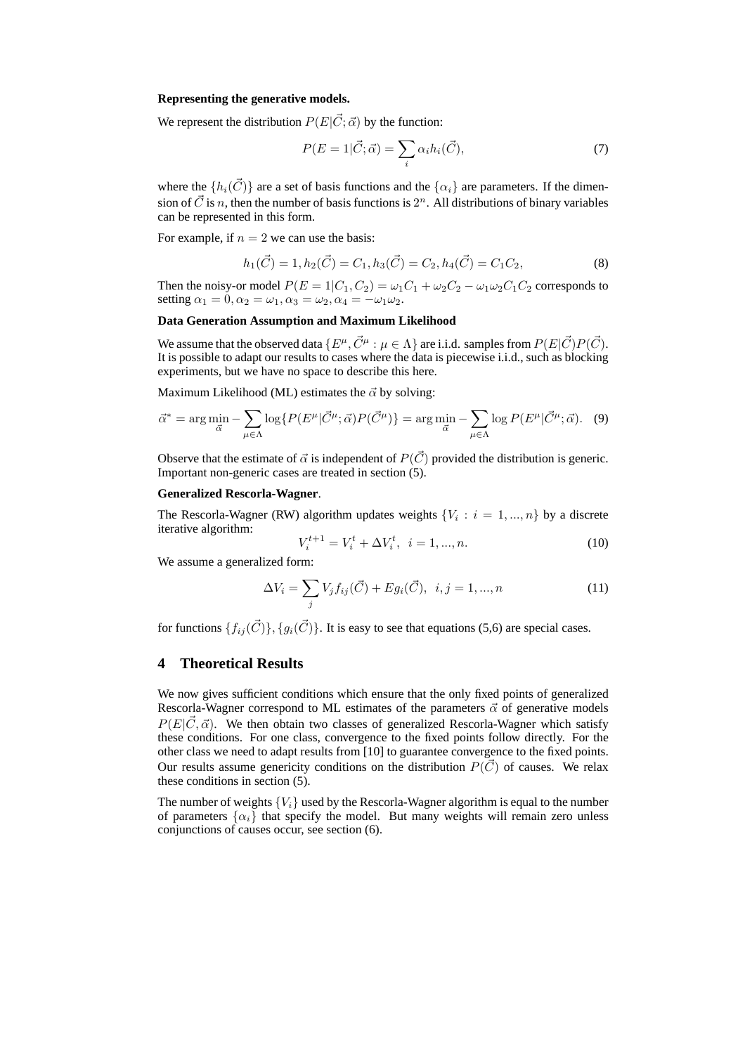#### **Representing the generative models.**

We represent the distribution  $P(E|\vec{C}; \vec{\alpha})$  by the function:

$$
P(E=1|\vec{C};\vec{\alpha}) = \sum_{i} \alpha_i h_i(\vec{C}), \qquad (7)
$$

where the  $\{h_i(\vec{C})\}$  are a set of basis functions and the  $\{\alpha_i\}$  are parameters. If the dimension of  $\vec{C}$  is n, then the number of basis functions is  $2^n$ . All distributions of binary variables can be represented in this form.

For example, if  $n = 2$  we can use the basis:

$$
h_1(\vec{C}) = 1, h_2(\vec{C}) = C_1, h_3(\vec{C}) = C_2, h_4(\vec{C}) = C_1 C_2,
$$
\n(8)

Then the noisy-or model  $P(E = 1|C_1, C_2) = \omega_1 C_1 + \omega_2 C_2 - \omega_1 \omega_2 C_1 C_2$  corresponds to setting  $\alpha_1 = 0, \alpha_2 = \omega_1, \alpha_3 = \omega_2, \alpha_4 = -\omega_1\omega_2$ .

## **Data Generation Assumption and Maximum Likelihood**

We assume that the observed data  $\{E^{\mu}, \vec{C}^{\mu} : \mu \in \Lambda\}$  are i.i.d. samples from  $P(E|\vec{C})P(\vec{C})$ . It is possible to adapt our results to cases where the data is piecewise i.i.d., such as blocking experiments, but we have no space to describe this here.

Maximum Likelihood (ML) estimates the  $\vec{\alpha}$  by solving:

$$
\vec{\alpha}^* = \arg\min_{\vec{\alpha}} - \sum_{\mu \in \Lambda} \log \{ P(E^{\mu}|\vec{C}^{\mu}; \vec{\alpha}) P(\vec{C}^{\mu}) \} = \arg\min_{\vec{\alpha}} - \sum_{\mu \in \Lambda} \log P(E^{\mu}|\vec{C}^{\mu}; \vec{\alpha}). \tag{9}
$$

Observe that the estimate of  $\vec{\alpha}$  is independent of  $P(\vec{C})$  provided the distribution is generic. Important non-generic cases are treated in section (5).

#### **Generalized Rescorla-Wagner**.

The Rescorla-Wagner (RW) algorithm updates weights  $\{V_i : i = 1, ..., n\}$  by a discrete iterative algorithm:

$$
V_i^{t+1} = V_i^t + \Delta V_i^t, \ \ i = 1, ..., n. \tag{10}
$$

We assume a generalized form:

$$
\Delta V_i = \sum_j V_j f_{ij}(\vec{C}) + Eg_i(\vec{C}), \ \ i, j = 1, ..., n
$$
\n(11)

for functions  $\{f_{ij}(\vec{C})\}, \{q_i(\vec{C})\}\$ . It is easy to see that equations (5,6) are special cases.

# **4 Theoretical Results**

We now gives sufficient conditions which ensure that the only fixed points of generalized Rescorla-Wagner correspond to ML estimates of the parameters  $\vec{\alpha}$  of generative models  $P(E|\vec{C}, \vec{\alpha})$ . We then obtain two classes of generalized Rescorla-Wagner which satisfy these conditions. For one class, convergence to the fixed points follow directly. For the other class we need to adapt results from [10] to guarantee convergence to the fixed points. Our results assume genericity conditions on the distribution  $P(\vec{C})$  of causes. We relax these conditions in section (5).

The number of weights  ${V_i}$  used by the Rescorla-Wagner algorithm is equal to the number of parameters  $\{\alpha_i\}$  that specify the model. But many weights will remain zero unless conjunctions of causes occur, see section (6).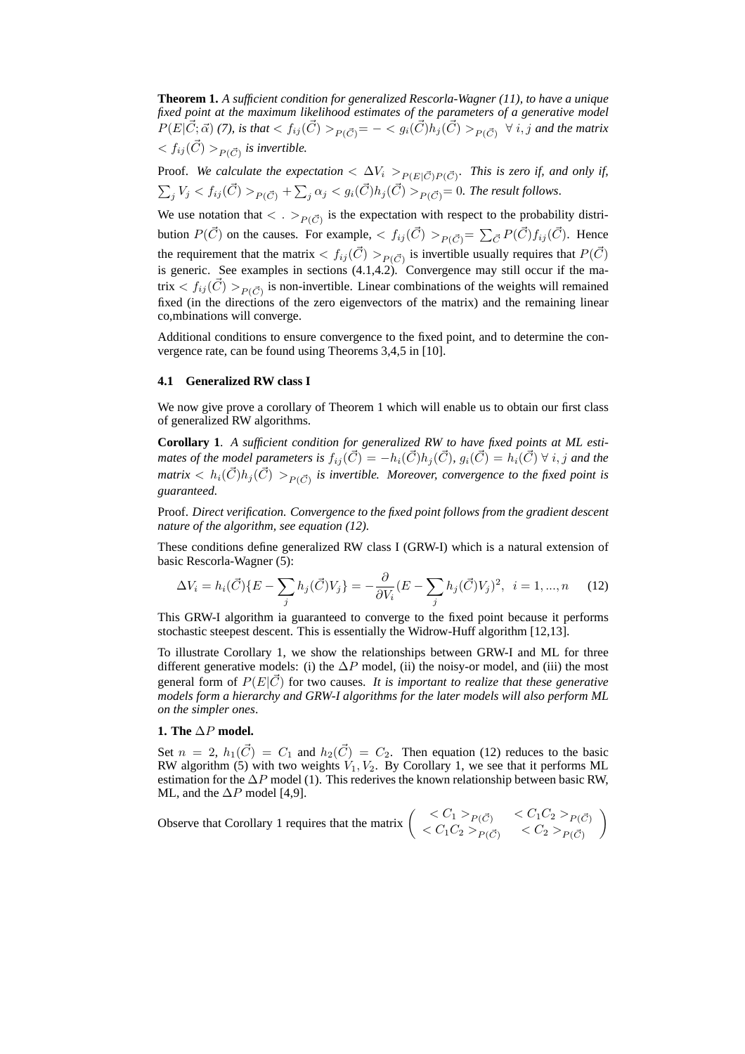**Theorem 1.** *A sufficient condition for generalized Rescorla-Wagner (11), to have a unique fixed point at the maximum likelihood estimates of the parameters of a generative model*  $P(E|\vec{C};\vec{\alpha})$  (7), is that  $< f_{ij}(\vec{C})>_{P(\vec{C})} = - < g_i(\vec{C}) h_j(\vec{C})>_{P(\vec{C})} \ \forall \ i,j$  and the matrix  $< f_{ij}(\vec{C}) >_{P(\vec{C})}$  is invertible.

Proof. We calculate the expectation  $\langle \Delta V_i \rangle_{P(E|\vec{C})P(\vec{C})}$ . This is zero if, and only if,  $\sum_j V_j < f_{ij}(\vec{C})>_{P(\vec{C})}+\sum_j \alpha_j < g_i(\vec{C}) h_j(\vec{C})>_{P(\vec{C})}=0.$  The result follows.

We use notation that  $\langle \cdot \rangle_{P(\vec{C})}$  is the expectation with respect to the probability distribution  $P(\vec{C})$  on the causes. For example,  $\langle f_{ij}(\vec{C}) \rangle_{P(\vec{C})} = \sum_{\vec{C}} P(\vec{C}) f_{ij}(\vec{C})$ . Hence the requirement that the matrix  $\langle f_{ij}(\vec{C}) \rangle_{P(\vec{C})}$  is invertible usually requires that  $P(\vec{C})$ is generic. See examples in sections (4.1,4.2). Convergence may still occur if the matrix  $\langle f_{ij}(\vec{C}) \rangle_{P(\vec{C})}$  is non-invertible. Linear combinations of the weights will remained fixed (in the directions of the zero eigenvectors of the matrix) and the remaining linear co,mbinations will converge.

Additional conditions to ensure convergence to the fixed point, and to determine the convergence rate, can be found using Theorems 3,4,5 in [10].

#### **4.1 Generalized RW class I**

We now give prove a corollary of Theorem 1 which will enable us to obtain our first class of generalized RW algorithms.

**Corollary 1**. *A sufficient condition for generalized RW to have fixed points at ML estimates of the model parameters is*  $f_{ii}(\vec{C}) = -h_i(\vec{C})h_i(\vec{C}), g_i(\vec{C}) = h_i(\vec{C}) \ \forall \ i, j$  and the matrix  $\langle h_i(\vec{C})h_j(\vec{C})\rangle_{P(\vec{C})}$  is invertible. Moreover, convergence to the fixed point is *guaranteed.*

Proof. *Direct verification. Convergence to the fixed point follows from the gradient descent nature of the algorithm, see equation (12).*

These conditions define generalized RW class I (GRW-I) which is a natural extension of basic Rescorla-Wagner (5):

$$
\Delta V_i = h_i(\vec{C}) \{ E - \sum_j h_j(\vec{C}) V_j \} = -\frac{\partial}{\partial V_i} (E - \sum_j h_j(\vec{C}) V_j)^2, \ \ i = 1, ..., n \tag{12}
$$

This GRW-I algorithm ia guaranteed to converge to the fixed point because it performs stochastic steepest descent. This is essentially the Widrow-Huff algorithm [12,13].

To illustrate Corollary 1, we show the relationships between GRW-I and ML for three different generative models: (i) the  $\Delta P$  model, (ii) the noisy-or model, and (iii) the most general form of  $P(E|\vec{C})$  for two causes. It is important to realize that these generative *models form a hierarchy and GRW-I algorithms for the later models will also perform ML on the simpler ones*.

## **1. The** ∆P **model.**

Set  $n = 2$ ,  $h_1(\vec{C}) = C_1$  and  $h_2(\vec{C}) = C_2$ . Then equation (12) reduces to the basic RW algorithm (5) with two weights  $V_1, V_2$ . By Corollary 1, we see that it performs ML estimation for the  $\Delta P$  model (1). This rederives the known relationship between basic RW, ML, and the  $\Delta P$  model [4,9].

Observe that Corollary 1 requires that the matrix 
$$
\begin{pmatrix} < C_1 >_{P(\vec{C})} < C_1 C_2 >_{P(\vec{C})} \\ < C_1 C_2 >_{P(\vec{C})} < C_2 >_{P(\vec{C})} \end{pmatrix}
$$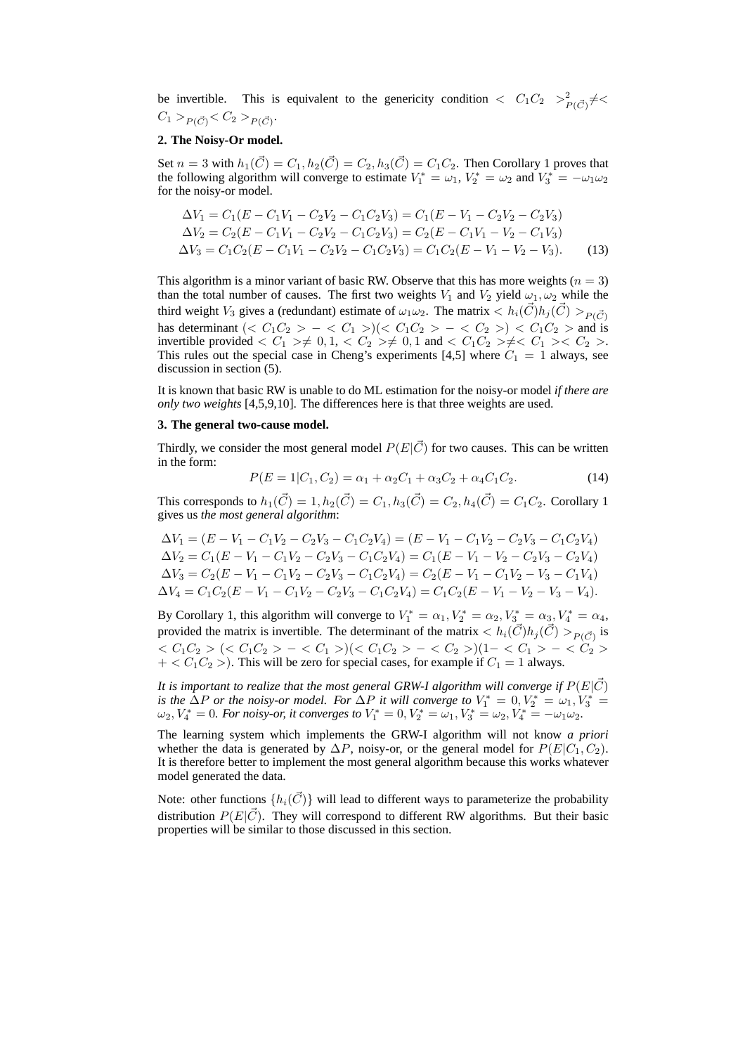be invertible. This is equivalent to the genericity condition  $\langle C_1 C_2 \rangle^2 = \frac{1}{P(\vec{C})} \neq \langle C_1 \rangle$  $C_1 >_{P(\vec{C})} < C_2 >_{P(\vec{C})}$ .

#### **2. The Noisy-Or model.**

Set  $n = 3$  with  $h_1(\vec{C}) = C_1, h_2(\vec{C}) = C_2, h_3(\vec{C}) = C_1C_2$ . Then Corollary 1 proves that the following algorithm will converge to estimate  $V_1^* = \omega_1$ ,  $V_2^* = \omega_2$  and  $V_3^* = -\omega_1\omega_2$ for the noisy-or model.

$$
\Delta V_1 = C_1 (E - C_1 V_1 - C_2 V_2 - C_1 C_2 V_3) = C_1 (E - V_1 - C_2 V_2 - C_2 V_3)
$$
  
\n
$$
\Delta V_2 = C_2 (E - C_1 V_1 - C_2 V_2 - C_1 C_2 V_3) = C_2 (E - C_1 V_1 - V_2 - C_1 V_3)
$$
  
\n
$$
\Delta V_3 = C_1 C_2 (E - C_1 V_1 - C_2 V_2 - C_1 C_2 V_3) = C_1 C_2 (E - V_1 - V_2 - V_3).
$$
 (13)

This algorithm is a minor variant of basic RW. Observe that this has more weights ( $n = 3$ ) than the total number of causes. The first two weights  $V_1$  and  $V_2$  yield  $\omega_1, \omega_2$  while the third weight  $V_3$  gives a (redundant) estimate of  $\omega_1\omega_2$ . The matrix  $\langle h_i(\vec{C})h_j(\vec{C}) \rangle_{P(\vec{C})}$ has determinant  $(*C*<sub>1</sub>*C*<sub>2</sub> > − < *C*<sub>1</sub> >)(*C*<sub>1</sub>*C*<sub>2</sub> > − < *C*<sub>2</sub> >) < *C*<sub>1</sub>*C*<sub>2</sub> > and is$ invertible provided  $\langle C_1 \rangle \neq 0, 1, \langle C_2 \rangle \neq 0, 1$  and  $\langle C_1 C_2 \rangle \neq \langle C_1 \rangle \langle C_2 \rangle$ . This rules out the special case in Cheng's experiments [4,5] where  $C_1 = 1$  always, see discussion in section (5).

It is known that basic RW is unable to do ML estimation for the noisy-or model *if there are only two weights* [4,5,9,10]. The differences here is that three weights are used.

#### **3. The general two-cause model.**

Thirdly, we consider the most general model  $P(E|\vec{C})$  for two causes. This can be written in the form:

$$
P(E = 1|C_1, C_2) = \alpha_1 + \alpha_2 C_1 + \alpha_3 C_2 + \alpha_4 C_1 C_2.
$$
 (14)

This corresponds to  $h_1(\vec{C}) = 1, h_2(\vec{C}) = C_1, h_3(\vec{C}) = C_2, h_4(\vec{C}) = C_1C_2$ . Corollary 1 gives us *the most general algorithm*:

$$
\Delta V_1 = (E - V_1 - C_1 V_2 - C_2 V_3 - C_1 C_2 V_4) = (E - V_1 - C_1 V_2 - C_2 V_3 - C_1 C_2 V_4)
$$
  
\n
$$
\Delta V_2 = C_1 (E - V_1 - C_1 V_2 - C_2 V_3 - C_1 C_2 V_4) = C_1 (E - V_1 - V_2 - C_2 V_3 - C_2 V_4)
$$
  
\n
$$
\Delta V_3 = C_2 (E - V_1 - C_1 V_2 - C_2 V_3 - C_1 C_2 V_4) = C_2 (E - V_1 - C_1 V_2 - V_3 - C_1 V_4)
$$
  
\n
$$
\Delta V_4 = C_1 C_2 (E - V_1 - C_1 V_2 - C_2 V_3 - C_1 C_2 V_4) = C_1 C_2 (E - V_1 - V_2 - V_3 - V_4).
$$

By Corollary 1, this algorithm will converge to  $V_1^* = \alpha_1, V_2^* = \alpha_2, V_3^* = \alpha_3, V_4^* = \alpha_4$ , provided the matrix is invertible. The determinant of the matrix  $\langle h_i(\vec{C})h_j(\vec{C}) \rangle_{P(\vec{C})}$  is  $\langle C_1 C_2 \rangle$  ( $\langle C_1 C_2 \rangle - \langle C_1 \rangle$ )( $\langle C_1 C_2 \rangle - \langle C_2 \rangle$ )(1- $\langle C_1 \rangle - \langle C_2 \rangle$  $+ < C_1C_2$  >). This will be zero for special cases, for example if  $C_1 = 1$  always.

*It is important to realize that the most general GRW-I algorithm will converge if*  $P(E|\vec{C})$ *is the*  $\Delta P$  *or the noisy-or model. For*  $\Delta P$  *it will converge to*  $V_1^* = 0, V_2^* = \omega_1, V_3^* =$  $\omega_2, V_4^* = 0$ . For noisy-or, it converges to  $V_1^* = 0, V_2^* = \omega_1, V_3^* = \omega_2, V_4^* = -\omega_1\omega_2$ .

The learning system which implements the GRW-I algorithm will not know *a priori* whether the data is generated by  $\Delta P$ , noisy-or, or the general model for  $P(E|C_1, C_2)$ . It is therefore better to implement the most general algorithm because this works whatever model generated the data.

Note: other functions  $\{h_i(\vec{C})\}$  will lead to different ways to parameterize the probability distribution  $P(E|\vec{C})$ . They will correspond to different RW algorithms. But their basic properties will be similar to those discussed in this section.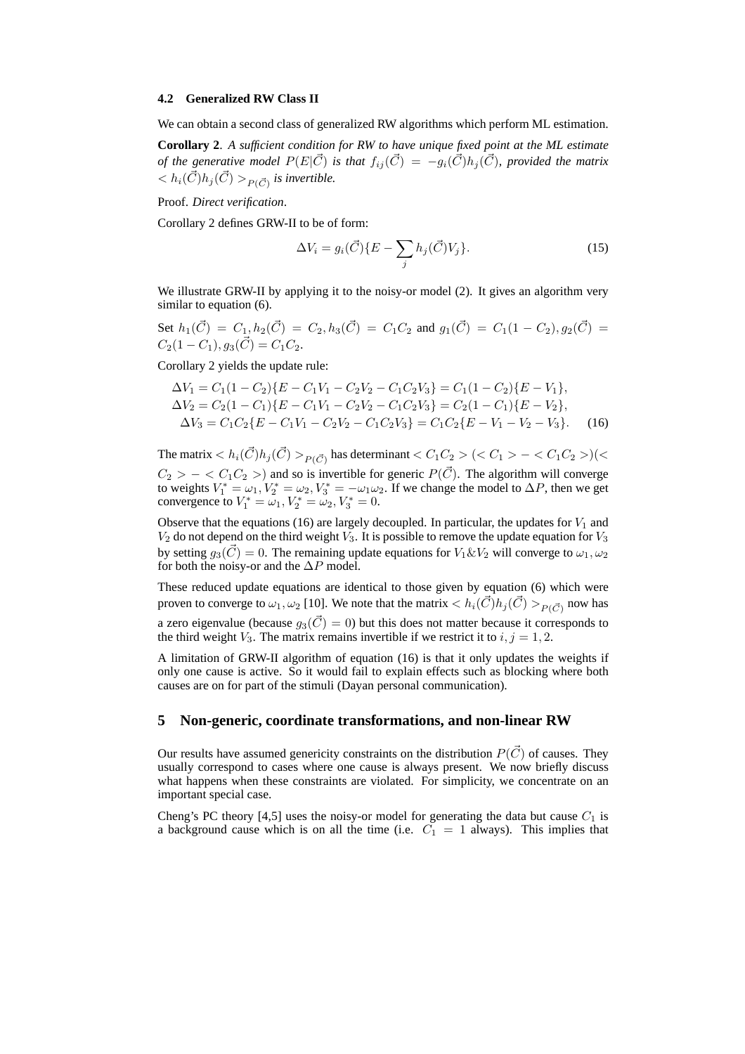#### **4.2 Generalized RW Class II**

We can obtain a second class of generalized RW algorithms which perform ML estimation.

**Corollary 2**. *A sufficient condition for RW to have unique fixed point at the ML estimate of the generative model*  $P(E|\vec{C})$  *is that*  $f_{ij}(\vec{C}) = -g_i(\vec{C})h_j(\vec{C})$ *, provided the matrix*  $< h_i(\vec{C})h_j(\vec{C}) >_{P(\vec{C})}$  is invertible.

Proof. *Direct verification*.

Corollary 2 defines GRW-II to be of form:

$$
\Delta V_i = g_i(\vec{C}) \{ E - \sum_j h_j(\vec{C}) V_j \}.
$$
\n(15)

We illustrate GRW-II by applying it to the noisy-or model (2). It gives an algorithm very similar to equation (6).

Set  $h_1(\vec{C}) = C_1, h_2(\vec{C}) = C_2, h_3(\vec{C}) = C_1C_2$  and  $g_1(\vec{C}) = C_1(1 - C_2), g_2(\vec{C}) = C_2$  $C_2(1 - C_1), g_3(\vec{C}) = C_1C_2.$ 

Corollary 2 yields the update rule:

$$
\Delta V_1 = C_1 (1 - C_2) \{ E - C_1 V_1 - C_2 V_2 - C_1 C_2 V_3 \} = C_1 (1 - C_2) \{ E - V_1 \},
$$
  
\n
$$
\Delta V_2 = C_2 (1 - C_1) \{ E - C_1 V_1 - C_2 V_2 - C_1 C_2 V_3 \} = C_2 (1 - C_1) \{ E - V_2 \},
$$
  
\n
$$
\Delta V_3 = C_1 C_2 \{ E - C_1 V_1 - C_2 V_2 - C_1 C_2 V_3 \} = C_1 C_2 \{ E - V_1 - V_2 - V_3 \}.
$$
 (16)

The matrix  $< h_i(\vec{C})h_j(\vec{C})>_{P(\vec{C})}$  has determinant  $< C_1 C_2 > (< C_1 > - < C_1 C_2 >)(<$  $C_2 > - < C_1 C_2 >$ ) and so is invertible for generic  $P(\vec{C})$ . The algorithm will converge to weights  $V_1^* = \omega_1$ ,  $V_2^* = \omega_2$ ,  $V_3^* = -\omega_1\omega_2$ . If we change the model to  $\Delta P$ , then we get convergence to  $V_1^* = \omega_1, V_2^* = \omega_2, V_3^* = 0.$ 

Observe that the equations (16) are largely decoupled. In particular, the updates for  $V_1$  and  $V_2$  do not depend on the third weight  $V_3$ . It is possible to remove the update equation for  $V_3$ by setting  $g_3(\vec{C}) = 0$ . The remaining update equations for  $V_1 \& V_2$  will converge to  $\omega_1, \omega_2$ for both the noisy-or and the  $\Delta P$  model.

These reduced update equations are identical to those given by equation (6) which were proven to converge to  $\omega_1,\omega_2$  [10]. We note that the matrix  $< h_i(\vec C)h_j(\vec C)>_{P(\vec C)}$  now has a zero eigenvalue (because  $g_3(\vec{C}) = 0$ ) but this does not matter because it corresponds to the third weight  $V_3$ . The matrix remains invertible if we restrict it to  $i, j = 1, 2$ .

A limitation of GRW-II algorithm of equation (16) is that it only updates the weights if only one cause is active. So it would fail to explain effects such as blocking where both causes are on for part of the stimuli (Dayan personal communication).

## **5 Non-generic, coordinate transformations, and non-linear RW**

Our results have assumed genericity constraints on the distribution  $P(\vec{C})$  of causes. They usually correspond to cases where one cause is always present. We now briefly discuss what happens when these constraints are violated. For simplicity, we concentrate on an important special case.

Cheng's PC theory [4,5] uses the noisy-or model for generating the data but cause  $C_1$  is a background cause which is on all the time (i.e.  $C_1 = 1$  always). This implies that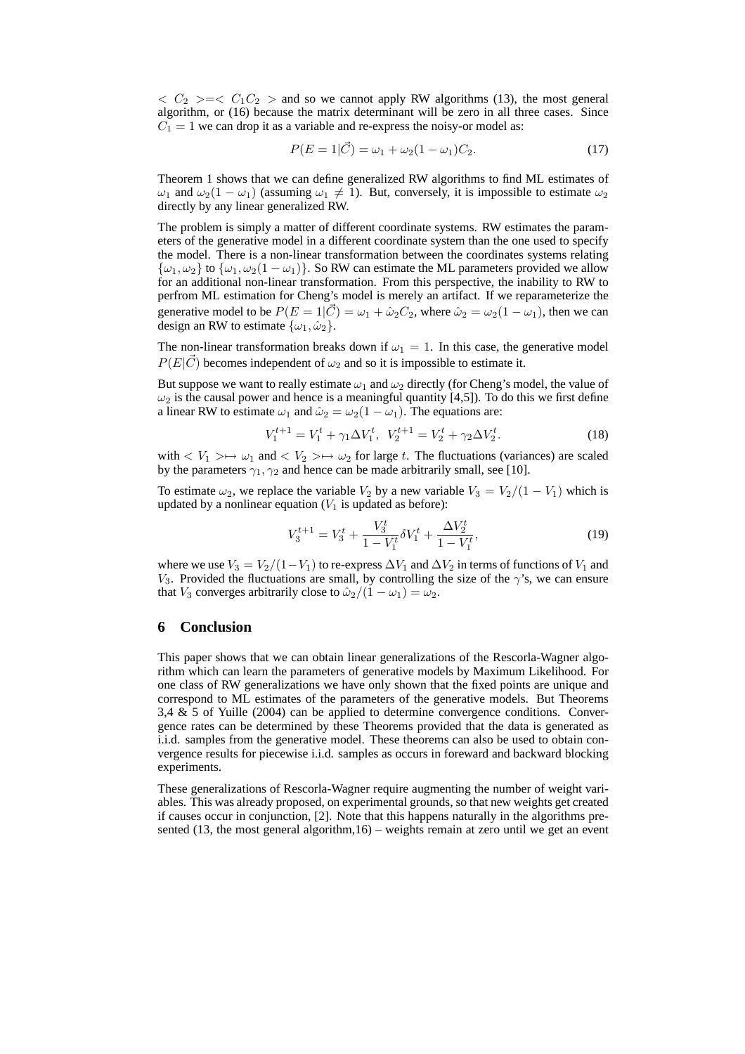$\langle C_2 \rangle = \langle C_1 C_2 \rangle$  and so we cannot apply RW algorithms (13), the most general algorithm, or (16) because the matrix determinant will be zero in all three cases. Since  $C_1 = 1$  we can drop it as a variable and re-express the noisy-or model as:

$$
P(E = 1|\vec{C}) = \omega_1 + \omega_2(1 - \omega_1)C_2.
$$
 (17)

Theorem 1 shows that we can define generalized RW algorithms to find ML estimates of  $\omega_1$  and  $\omega_2(1-\omega_1)$  (assuming  $\omega_1 \neq 1$ ). But, conversely, it is impossible to estimate  $\omega_2$ directly by any linear generalized RW.

The problem is simply a matter of different coordinate systems. RW estimates the parameters of the generative model in a different coordinate system than the one used to specify the model. There is a non-linear transformation between the coordinates systems relating  $\{\omega_1, \omega_2\}$  to  $\{\omega_1, \omega_2(1 - \omega_1)\}\)$ . So RW can estimate the ML parameters provided we allow for an additional non-linear transformation. From this perspective, the inability to RW to perfrom ML estimation for Cheng's model is merely an artifact. If we reparameterize the generative model to be  $P(E = 1|\vec{C}) = \omega_1 + \hat{\omega}_2 C_2$ , where  $\hat{\omega}_2 = \omega_2(1 - \omega_1)$ , then we can design an RW to estimate  $\{\omega_1, \hat{\omega}_2\}.$ 

The non-linear transformation breaks down if  $\omega_1 = 1$ . In this case, the generative model  $P(E|\vec{C})$  becomes independent of  $\omega_2$  and so it is impossible to estimate it.

But suppose we want to really estimate  $\omega_1$  and  $\omega_2$  directly (for Cheng's model, the value of  $\omega_2$  is the causal power and hence is a meaningful quantity [4,5]). To do this we first define a linear RW to estimate  $\omega_1$  and  $\hat{\omega}_2 = \omega_2(1 - \omega_1)$ . The equations are:

$$
V_1^{t+1} = V_1^t + \gamma_1 \Delta V_1^t, \ \ V_2^{t+1} = V_2^t + \gamma_2 \Delta V_2^t. \tag{18}
$$

with  $\langle V_1 \rangle \mapsto \omega_1$  and  $\langle V_2 \rangle \mapsto \omega_2$  for large t. The fluctuations (variances) are scaled by the parameters  $\gamma_1, \gamma_2$  and hence can be made arbitrarily small, see [10].

To estimate  $\omega_2$ , we replace the variable  $V_2$  by a new variable  $V_3 = V_2/(1 - V_1)$  which is updated by a nonlinear equation  $(V_1$  is updated as before):

$$
V_3^{t+1} = V_3^t + \frac{V_3^t}{1 - V_1^t} \delta V_1^t + \frac{\Delta V_2^t}{1 - V_1^t},\tag{19}
$$

where we use  $V_3 = V_2/(1-V_1)$  to re-express  $\Delta V_1$  and  $\Delta V_2$  in terms of functions of  $V_1$  and V<sub>3</sub>. Provided the fluctuations are small, by controlling the size of the  $\gamma$ 's, we can ensure that  $V_3$  converges arbitrarily close to  $\hat{\omega}_2/(1 - \omega_1) = \omega_2$ .

## **6 Conclusion**

This paper shows that we can obtain linear generalizations of the Rescorla-Wagner algorithm which can learn the parameters of generative models by Maximum Likelihood. For one class of RW generalizations we have only shown that the fixed points are unique and correspond to ML estimates of the parameters of the generative models. But Theorems 3,4 & 5 of Yuille (2004) can be applied to determine convergence conditions. Convergence rates can be determined by these Theorems provided that the data is generated as i.i.d. samples from the generative model. These theorems can also be used to obtain convergence results for piecewise i.i.d. samples as occurs in foreward and backward blocking experiments.

These generalizations of Rescorla-Wagner require augmenting the number of weight variables. This was already proposed, on experimental grounds, so that new weights get created if causes occur in conjunction, [2]. Note that this happens naturally in the algorithms presented  $(13,$  the most general algorithm,16) – weights remain at zero until we get an event